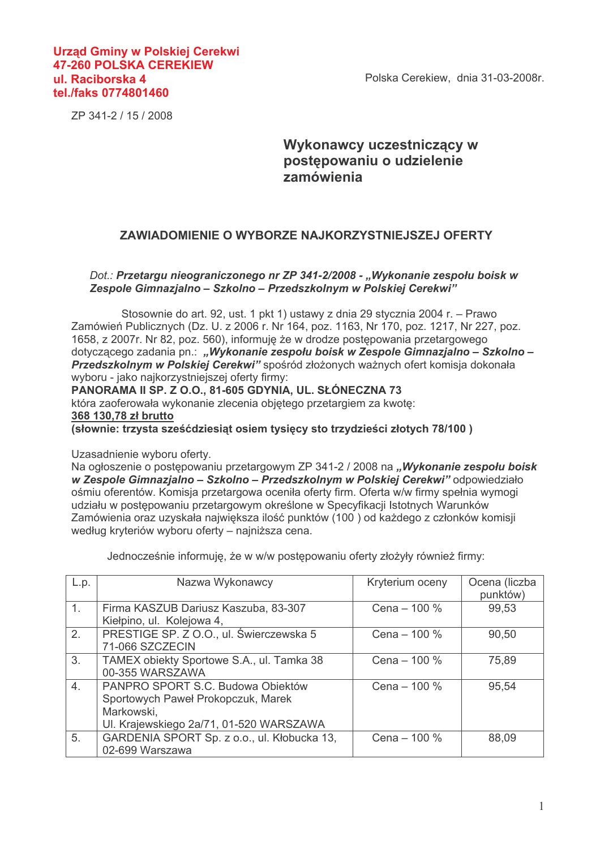Polska Cerekiew, dnia 31-03-2008r.

## **Urzad Gminy w Polskiej Cerekwi 47-260 POLSKA CEREKIEW** ul. Raciborska 4 tel./faks 0774801460

ZP 341-2 / 15 / 2008

## Wykonawcy uczestniczący w postepowaniu o udzielenie zamówienia

## ZAWIADOMIENIE O WYBORZE NAJKORZYSTNIEJSZEJ OFERTY

## Dot.: Przetargu nieograniczonego nr ZP 341-2/2008 - "Wykonanie zespołu boisk w Zespole Gimnazjalno - Szkolno - Przedszkolnym w Polskiej Cerekwi"

Stosownie do art. 92, ust. 1 pkt 1) ustawy z dnia 29 stycznia 2004 r. – Prawo Zamówień Publicznych (Dz. U. z 2006 r. Nr 164, poz. 1163, Nr 170, poz. 1217, Nr 227, poz. 1658, z 2007r, Nr 82, poz. 560), informuje że w drodze postepowania przetargowego dotyczącego zadania pn.: "Wykonanie zespołu bojsk w Zespole Gimnazjalno – Szkolno – Przedszkolnym w Polskiej Cerekwi" spośród złożonych ważnych ofert komisja dokonała wyboru - jako najkorzystniejszej oferty firmy:

PANORAMA II SP. Z O.O., 81-605 GDYNIA, UL. SŁÓNECZNA 73 która zaoferowała wykonanie zlecenia obietego przetargiem za kwote: 368 130.78 zł brutto (słownie: trzysta sześćdziesiat osiem tysięcy sto trzydzieści złotych 78/100)

Uzasadnienie wyboru oferty.

Na ogłoszenie o postępowaniu przetargowym ZP 341-2 / 2008 na "Wykonanie zespołu boisk w Zespole Gimnazjalno - Szkolno - Przedszkolnym w Polskiej Cerekwi" odpowiedziało ośmiu oferentów. Komisia przetargowa oceniła oferty firm. Oferta w/w firmy spełnia wymogi udziału w postepowaniu przetargowym określone w Specyfikacji Istotnych Warunków Zamówienia oraz uzyskała najwieksza ilość punktów (100) od każdego z członków komisji według kryteriów wyboru oferty – najniższa cena.

Jednocześnie informuję, że w w/w postępowaniu oferty złożyły również firmy:

| L.p.             | Nazwa Wykonawcy                                                                                                                  | Kryterium oceny | Ocena (liczba<br>punktów) |
|------------------|----------------------------------------------------------------------------------------------------------------------------------|-----------------|---------------------------|
| $\overline{1}$ . | Firma KASZUB Dariusz Kaszuba, 83-307<br>Kiełpino, ul. Kolejowa 4,                                                                | Cena $-$ 100 %  | 99,53                     |
| 2.               | PRESTIGE SP. Z O.O., ul. Świerczewska 5<br>71-066 SZCZECIN                                                                       | Cena $-$ 100 %  | 90,50                     |
| 3.               | TAMEX obiekty Sportowe S.A., ul. Tamka 38<br>00-355 WARSZAWA                                                                     | Cena $-$ 100 %  | 75,89                     |
| 4.               | PANPRO SPORT S.C. Budowa Objektów<br>Sportowych Paweł Prokopczuk, Marek<br>Markowski,<br>UI. Krajewskiego 2a/71, 01-520 WARSZAWA | Cena $-$ 100 %  | 95,54                     |
| 5.               | GARDENIA SPORT Sp. z o.o., ul. Kłobucka 13,<br>02-699 Warszawa                                                                   | Cena - 100 %    | 88,09                     |